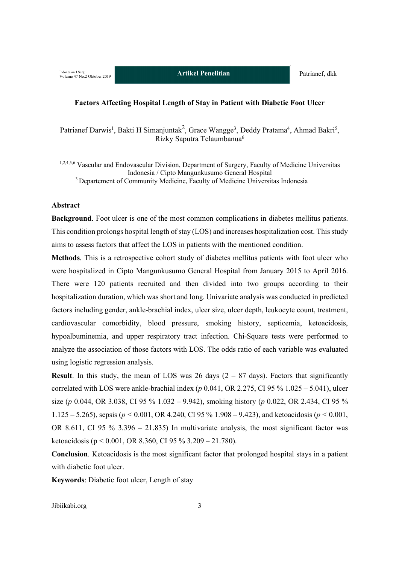#### **Factors Affecting Hospital Length of Stay in Patient with Diabetic Foot Ulcer**

Patrianef Darwis<sup>1</sup>, Bakti H Simanjuntak<sup>2</sup>, Grace Wangge<sup>3</sup>, Deddy Pratama<sup>4</sup>, Ahmad Bakri<sup>5</sup>, Rizky Saputra Telaumbanua6

<sup>1,2,4,5,6</sup> Vascular and Endovascular Division, Department of Surgery, Faculty of Medicine Universitas Indonesia / Cipto Mangunkusumo General Hospital <sup>3</sup> Departement of Community Medicine, Faculty of Medicine Universitas Indonesia

### **Abstract**

**Background**. Foot ulcer is one of the most common complications in diabetes mellitus patients. This condition prolongs hospital length of stay (LOS) and increases hospitalization cost. This study aims to assess factors that affect the LOS in patients with the mentioned condition.

**Methods**. This is a retrospective cohort study of diabetes mellitus patients with foot ulcer who were hospitalized in Cipto Mangunkusumo General Hospital from January 2015 to April 2016. There were 120 patients recruited and then divided into two groups according to their hospitalization duration, which was short and long. Univariate analysis was conducted in predicted factors including gender, ankle-brachial index, ulcer size, ulcer depth, leukocyte count, treatment, cardiovascular comorbidity, blood pressure, smoking history, septicemia, ketoacidosis, hypoalbuminemia, and upper respiratory tract infection. Chi-Square tests were performed to analyze the association of those factors with LOS. The odds ratio of each variable was evaluated using logistic regression analysis.

**Result**. In this study, the mean of LOS was 26 days  $(2 - 87 \text{ days})$ . Factors that significantly correlated with LOS were ankle-brachial index (*p* 0.041, OR 2.275, CI 95 % 1.025 – 5.041), ulcer size (*p* 0.044, OR 3.038, CI 95 % 1.032 – 9.942), smoking history (*p* 0.022, OR 2.434, CI 95 % 1.125 – 5.265), sepsis ( $p < 0.001$ , OR 4.240, CI 95 % 1.908 – 9.423), and ketoacidosis ( $p < 0.001$ , OR 8.611, CI 95 % 3.396 – 21.835) In multivariate analysis, the most significant factor was ketoacidosis (p < 0.001, OR 8.360, CI 95 % 3.209 – 21.780).

**Conclusion**. Ketoacidosis is the most significant factor that prolonged hospital stays in a patient with diabetic foot ulcer.

**Keywords**: Diabetic foot ulcer, Length of stay

Jibiikabi.org 3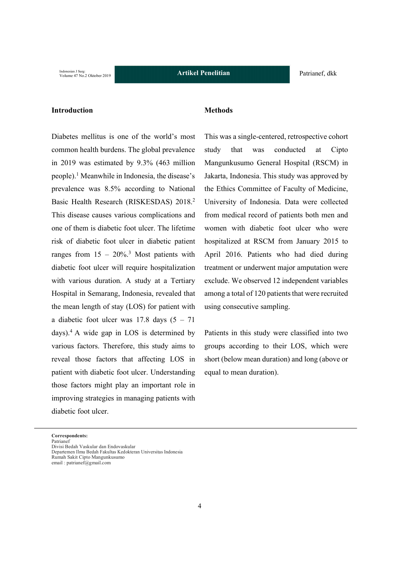# **Introduction**

Diabetes mellitus is one of the world's most common health burdens. The global prevalence in 2019 was estimated by 9.3% (463 million people).1 Meanwhile in Indonesia, the disease's prevalence was 8.5% according to National Basic Health Research (RISKESDAS) 2018.2 This disease causes various complications and one of them is diabetic foot ulcer. The lifetime risk of diabetic foot ulcer in diabetic patient ranges from  $15 - 20\%$ <sup>3</sup> Most patients with diabetic foot ulcer will require hospitalization with various duration. A study at a Tertiary Hospital in Semarang, Indonesia, revealed that the mean length of stay (LOS) for patient with a diabetic foot ulcer was  $17.8$  days  $(5 - 71)$ days).4 A wide gap in LOS is determined by various factors. Therefore, this study aims to reveal those factors that affecting LOS in patient with diabetic foot ulcer. Understanding those factors might play an important role in improving strategies in managing patients with diabetic foot ulcer.

#### **Methods**

This was a single-centered, retrospective cohort study that was conducted at Cipto Mangunkusumo General Hospital (RSCM) in Jakarta, Indonesia. This study was approved by the Ethics Committee of Faculty of Medicine, University of Indonesia. Data were collected from medical record of patients both men and women with diabetic foot ulcer who were hospitalized at RSCM from January 2015 to April 2016. Patients who had died during treatment or underwent major amputation were exclude. We observed 12 independent variables among a total of 120 patients that were recruited using consecutive sampling.

Patients in this study were classified into two groups according to their LOS, which were short (below mean duration) and long (above or equal to mean duration).

Divisi Bedah Vaskular dan Endovaskular Departemen Ilmu Bedah Fakultas Kedokteran Universitas Indonesia Rumah Sakit Cipto Mangunkusumo email : patrianef@gmail.com

**Correspondents:** Patrianef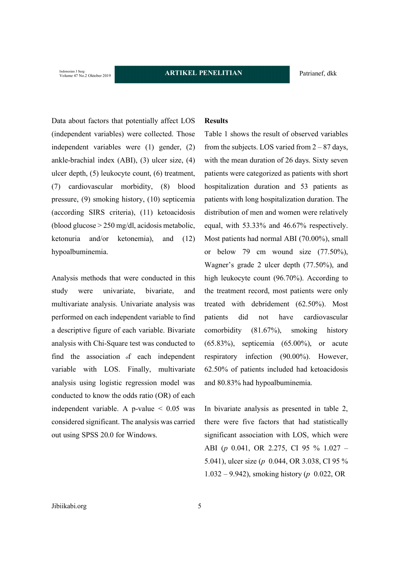Indonesian J Surg:<br>Volume 47 No.2 Oktober 2019

Data about factors that potentially affect LOS (independent variables) were collected. Those independent variables were (1) gender, (2) ankle-brachial index (ABI), (3) ulcer size, (4) ulcer depth, (5) leukocyte count, (6) treatment, (7) cardiovascular morbidity, (8) blood pressure, (9) smoking history, (10) septicemia (according SIRS criteria), (11) ketoacidosis (blood glucose > 250 mg/dl, acidosis metabolic, ketonuria and/or ketonemia), and (12) hypoalbuminemia.

Analysis methods that were conducted in this study were univariate, bivariate, and multivariate analysis. Univariate analysis was performed on each independent variable to find a descriptive figure of each variable. Bivariate analysis with Chi-Square test was conducted to find the association of each independent variable with LOS. Finally, multivariate analysis using logistic regression model was conducted to know the odds ratio (OR) of each independent variable. A p-value  $\leq 0.05$  was considered significant. The analysis was carried out using SPSS 20.0 for Windows.

# **Results**

Table 1 shows the result of observed variables from the subjects. LOS varied from  $2 - 87$  days, with the mean duration of 26 days. Sixty seven patients were categorized as patients with short hospitalization duration and 53 patients as patients with long hospitalization duration. The distribution of men and women were relatively equal, with 53.33% and 46.67% respectively. Most patients had normal ABI (70.00%), small or below 79 cm wound size (77.50%), Wagner's grade 2 ulcer depth (77.50%), and high leukocyte count (96.70%). According to the treatment record, most patients were only treated with debridement (62.50%). Most patients did not have cardiovascular comorbidity (81.67%), smoking history (65.83%), septicemia (65.00%), or acute respiratory infection (90.00%). However, 62.50% of patients included had ketoacidosis and 80.83% had hypoalbuminemia.

In bivariate analysis as presented in table 2, there were five factors that had statistically significant association with LOS, which were ABI (*p* 0.041, OR 2.275, CI 95 % 1.027 – 5.041), ulcer size (*p* 0.044, OR 3.038, CI 95 % 1.032 – 9.942), smoking history (*p* 0.022, OR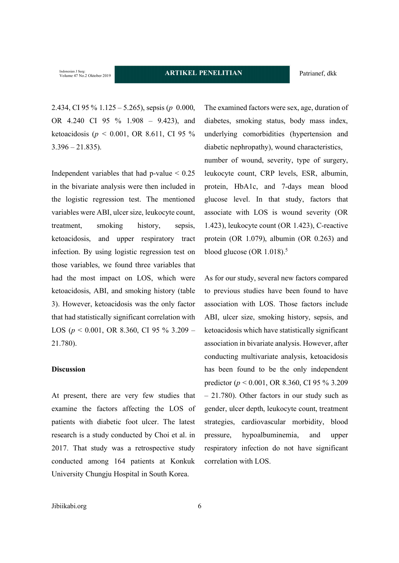Indonesian J Surg:<br>Volume 47 No.2 Oktober 2019

2.434, CI 95 % 1.125 – 5.265), sepsis (*p* 0.000, OR 4.240 CI 95 % 1.908 – 9.423), and ketoacidosis (*p <* 0.001, OR 8.611, CI 95 %  $3.396 - 21.835$ ).

Independent variables that had p-value  $\leq 0.25$ in the bivariate analysis were then included in the logistic regression test. The mentioned variables were ABI, ulcer size, leukocyte count, treatment, smoking history, sepsis, ketoacidosis, and upper respiratory tract infection. By using logistic regression test on those variables, we found three variables that had the most impact on LOS, which were ketoacidosis, ABI, and smoking history (table 3). However, ketoacidosis was the only factor that had statistically significant correlation with LOS (*p* < 0.001, OR 8.360, CI 95 % 3.209 – 21.780).

# **Discussion**

At present, there are very few studies that examine the factors affecting the LOS of patients with diabetic foot ulcer. The latest research is a study conducted by Choi et al. in 2017. That study was a retrospective study conducted among 164 patients at Konkuk University Chungju Hospital in South Korea.

The examined factors were sex, age, duration of diabetes, smoking status, body mass index, underlying comorbidities (hypertension and diabetic nephropathy), wound characteristics, number of wound, severity, type of surgery, leukocyte count, CRP levels, ESR, albumin, protein, HbA1c, and 7-days mean blood glucose level. In that study, factors that associate with LOS is wound severity (OR 1.423), leukocyte count (OR 1.423), C-reactive protein (OR 1.079), albumin (OR 0.263) and blood glucose (OR  $1.018$ ).<sup>5</sup>

As for our study, several new factors compared to previous studies have been found to have association with LOS. Those factors include ABI, ulcer size, smoking history, sepsis, and ketoacidosis which have statistically significant association in bivariate analysis. However, after conducting multivariate analysis, ketoacidosis has been found to be the only independent predictor (*p* < 0.001, OR 8.360, CI 95 % 3.209 – 21.780). Other factors in our study such as gender, ulcer depth, leukocyte count, treatment strategies, cardiovascular morbidity, blood pressure, hypoalbuminemia, and upper respiratory infection do not have significant correlation with LOS.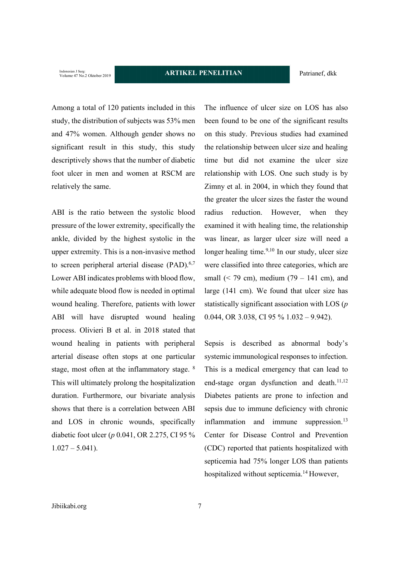Indonesian J Surg:<br>Volume 47 No.2 Oktober 2019

Among a total of 120 patients included in this study, the distribution of subjects was 53% men and 47% women. Although gender shows no significant result in this study, this study descriptively shows that the number of diabetic foot ulcer in men and women at RSCM are relatively the same.

ABI is the ratio between the systolic blood pressure of the lower extremity, specifically the ankle, divided by the highest systolic in the upper extremity. This is a non-invasive method to screen peripheral arterial disease  $(PAD)$ .<sup>6,7</sup> Lower ABI indicates problems with blood flow, while adequate blood flow is needed in optimal wound healing. Therefore, patients with lower ABI will have disrupted wound healing process. Olivieri B et al. in 2018 stated that wound healing in patients with peripheral arterial disease often stops at one particular stage, most often at the inflammatory stage. 8 This will ultimately prolong the hospitalization duration. Furthermore, our bivariate analysis shows that there is a correlation between ABI and LOS in chronic wounds, specifically diabetic foot ulcer (*p* 0.041, OR 2.275, CI 95 %  $1.027 - 5.041$ ).

The influence of ulcer size on LOS has also been found to be one of the significant results on this study. Previous studies had examined the relationship between ulcer size and healing time but did not examine the ulcer size relationship with LOS. One such study is by Zimny et al. in 2004, in which they found that the greater the ulcer sizes the faster the wound radius reduction. However, when they examined it with healing time, the relationship was linear, as larger ulcer size will need a longer healing time. $9,10$  In our study, ulcer size were classified into three categories, which are small  $(< 79$  cm), medium  $(79 - 141$  cm), and large (141 cm). We found that ulcer size has statistically significant association with LOS (*p*  0.044, OR 3.038, CI 95 % 1.032 – 9.942).

Sepsis is described as abnormal body's systemic immunological responses to infection. This is a medical emergency that can lead to end-stage organ dysfunction and death. $11,12$ Diabetes patients are prone to infection and sepsis due to immune deficiency with chronic inflammation and immune suppression. $13$ Center for Disease Control and Prevention (CDC) reported that patients hospitalized with septicemia had 75% longer LOS than patients hospitalized without septicemia.<sup>14</sup> However,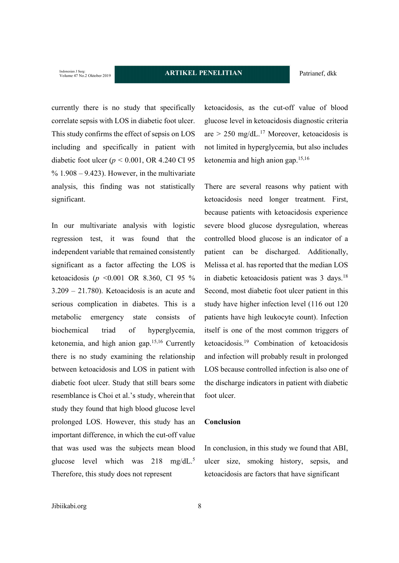Indonesian J Surg:<br>Volume 47 No.2 Oktober 2019

currently there is no study that specifically correlate sepsis with LOS in diabetic foot ulcer. This study confirms the effect of sepsis on LOS including and specifically in patient with diabetic foot ulcer (*p <* 0.001, OR 4.240 CI 95  $\%$  1.908 – 9.423). However, in the multivariate analysis, this finding was not statistically significant.

In our multivariate analysis with logistic regression test, it was found that the independent variable that remained consistently significant as a factor affecting the LOS is ketoacidosis (*p* <0.001 OR 8.360, CI 95 % 3.209 – 21.780). Ketoacidosis is an acute and serious complication in diabetes. This is a metabolic emergency state consists of biochemical triad of hyperglycemia, ketonemia, and high anion gap.15,16 Currently there is no study examining the relationship between ketoacidosis and LOS in patient with diabetic foot ulcer. Study that still bears some resemblance is Choi et al.'s study, wherein that study they found that high blood glucose level prolonged LOS. However, this study has an important difference, in which the cut-off value that was used was the subjects mean blood glucose level which was 218 mg/dL.<sup>5</sup> Therefore, this study does not represent

ketoacidosis, as the cut-off value of blood glucose level in ketoacidosis diagnostic criteria are  $> 250$  mg/dL.<sup>17</sup> Moreover, ketoacidosis is not limited in hyperglycemia, but also includes ketonemia and high anion gap.15,16

There are several reasons why patient with ketoacidosis need longer treatment. First, because patients with ketoacidosis experience severe blood glucose dysregulation, whereas controlled blood glucose is an indicator of a patient can be discharged. Additionally, Melissa et al. has reported that the median LOS in diabetic ketoacidosis patient was 3 days.18 Second, most diabetic foot ulcer patient in this study have higher infection level (116 out 120 patients have high leukocyte count). Infection itself is one of the most common triggers of ketoacidosis.19 Combination of ketoacidosis and infection will probably result in prolonged LOS because controlled infection is also one of the discharge indicators in patient with diabetic foot ulcer.

## **Conclusion**

In conclusion, in this study we found that ABI, ulcer size, smoking history, sepsis, and ketoacidosis are factors that have significant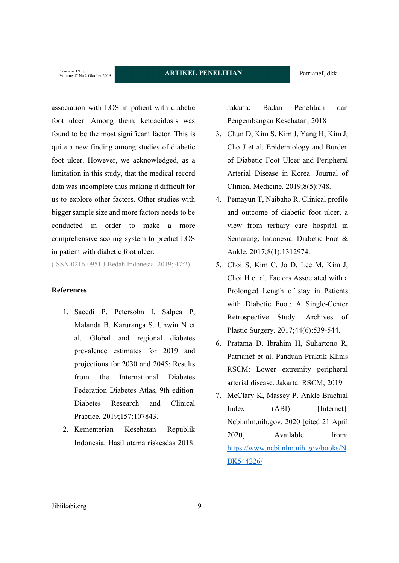Indonesian J Surg:<br>Volume 47 No.2 Oktober 2019

association with LOS in patient with diabetic foot ulcer. Among them, ketoacidosis was found to be the most significant factor. This is quite a new finding among studies of diabetic foot ulcer. However, we acknowledged, as a limitation in this study, that the medical record data was incomplete thus making it difficult for us to explore other factors. Other studies with bigger sample size and more factors needs to be conducted in order to make a more comprehensive scoring system to predict LOS in patient with diabetic foot ulcer.

(ISSN:0216-0951 J Bedah Indonesia. 2019; 47:2)

# **References**

- 1. Saeedi P, Petersohn I, Salpea P, Malanda B, Karuranga S, Unwin N et al. Global and regional diabetes prevalence estimates for 2019 and projections for 2030 and 2045: Results from the International Diabetes Federation Diabetes Atlas, 9th edition. Diabetes Research and Clinical Practice. 2019;157:107843.
- 2. Kementerian Kesehatan Republik Indonesia. Hasil utama riskesdas 2018.

Jakarta: Badan Penelitian dan Pengembangan Kesehatan; 2018

- 3. Chun D, Kim S, Kim J, Yang H, Kim J, Cho J et al. Epidemiology and Burden of Diabetic Foot Ulcer and Peripheral Arterial Disease in Korea. Journal of Clinical Medicine. 2019;8(5):748.
- 4. Pemayun T, Naibaho R. Clinical profile and outcome of diabetic foot ulcer, a view from tertiary care hospital in Semarang, Indonesia. Diabetic Foot & Ankle. 2017;8(1):1312974.
- 5. Choi S, Kim C, Jo D, Lee M, Kim J, Choi H et al. Factors Associated with a Prolonged Length of stay in Patients with Diabetic Foot: A Single-Center Retrospective Study. Archives of Plastic Surgery. 2017;44(6):539-544.
- 6. Pratama D, Ibrahim H, Suhartono R, Patrianef et al. Panduan Praktik Klinis RSCM: Lower extremity peripheral arterial disease. Jakarta: RSCM; 2019
- 7. McClary K, Massey P. Ankle Brachial Index (ABI) [Internet]. Ncbi.nlm.nih.gov. 2020 [cited 21 April 2020]. Available from: https://www.ncbi.nlm.nih.gov/books/N BK544226/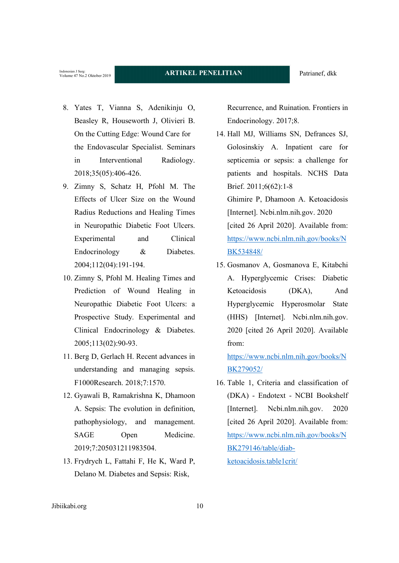- 8. Yates T, Vianna S, Adenikinju O, Beasley R, Houseworth J, Olivieri B. On the Cutting Edge: Wound Care for the Endovascular Specialist. Seminars in Interventional Radiology. 2018;35(05):406-426.
- 9. Zimny S, Schatz H, Pfohl M. The Effects of Ulcer Size on the Wound Radius Reductions and Healing Times in Neuropathic Diabetic Foot Ulcers. Experimental and Clinical Endocrinology & Diabetes. 2004;112(04):191-194.
- 10. Zimny S, Pfohl M. Healing Times and Prediction of Wound Healing in Neuropathic Diabetic Foot Ulcers: a Prospective Study. Experimental and Clinical Endocrinology & Diabetes. 2005;113(02):90-93.
- 11. Berg D, Gerlach H. Recent advances in understanding and managing sepsis. F1000Research. 2018;7:1570.
- 12. Gyawali B, Ramakrishna K, Dhamoon A. Sepsis: The evolution in definition, pathophysiology, and management. SAGE Open Medicine. 2019;7:205031211983504.
- 13. Frydrych L, Fattahi F, He K, Ward P, Delano M. Diabetes and Sepsis: Risk,

Recurrence, and Ruination. Frontiers in Endocrinology. 2017;8.

- 14. Hall MJ, Williams SN, Defrances SJ, Golosinskiy A. Inpatient care for septicemia or sepsis: a challenge for patients and hospitals. NCHS Data Brief. 2011;6(62):1-8 Ghimire P, Dhamoon A. Ketoacidosis [Internet]. Ncbi.nlm.nih.gov. 2020 [cited 26 April 2020]. Available from: https://www.ncbi.nlm.nih.gov/books/N BK534848/
- 15. Gosmanov A, Gosmanova E, Kitabchi A. Hyperglycemic Crises: Diabetic Ketoacidosis (DKA), And Hyperglycemic Hyperosmolar State (HHS) [Internet]. Ncbi.nlm.nih.gov. 2020 [cited 26 April 2020]. Available from:

https://www.ncbi.nlm.nih.gov/books/N BK279052/

16. Table 1, Criteria and classification of (DKA) - Endotext - NCBI Bookshelf [Internet]. Ncbi.nlm.nih.gov. 2020 [cited 26 April 2020]. Available from: https://www.ncbi.nlm.nih.gov/books/N BK279146/table/diabketoacidosis.table1crit/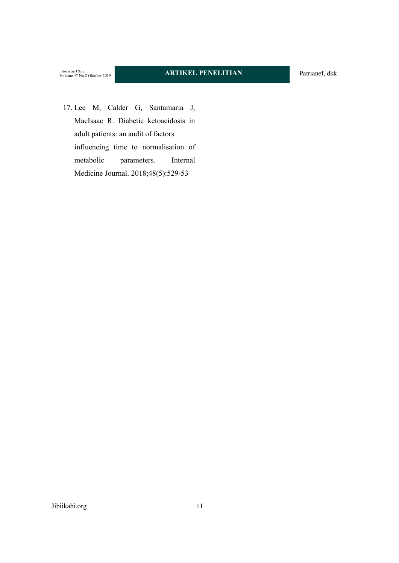17. Lee M, Calder G, Santamaria J, MacIsaac R. Diabetic ketoacidosis in adult patients: an audit of factors influencing time to normalisation of metabolic parameters. Internal Medicine Journal. 2018;48(5):529-53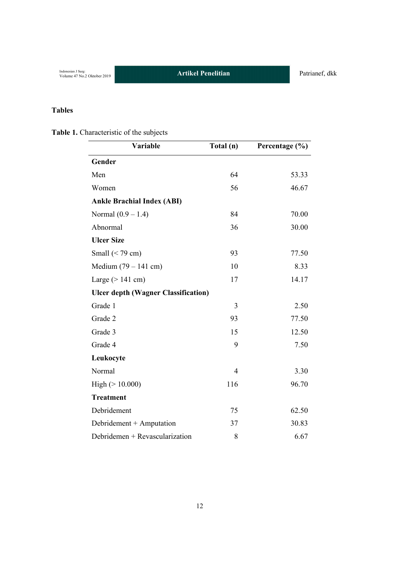# **Tables**

| Table 1. Characteristic of the subjects |  |  |
|-----------------------------------------|--|--|
|                                         |  |  |

| Variable                                   | Total (n)      | Percentage $(\% )$ |
|--------------------------------------------|----------------|--------------------|
| Gender                                     |                |                    |
| Men                                        | 64             | 53.33              |
| Women                                      | 56             | 46.67              |
| <b>Ankle Brachial Index (ABI)</b>          |                |                    |
| Normal $(0.9 - 1.4)$                       | 84             | 70.00              |
| Abnormal                                   | 36             | 30.00              |
| <b>Ulcer Size</b>                          |                |                    |
| Small $(< 79 cm)$                          | 93             | 77.50              |
| Medium $(79 - 141$ cm)                     | 10             | 8.33               |
| Large $(>141$ cm)                          | 17             | 14.17              |
| <b>Ulcer depth (Wagner Classification)</b> |                |                    |
| Grade 1                                    | 3              | 2.50               |
| Grade 2                                    | 93             | 77.50              |
| Grade 3                                    | 15             | 12.50              |
| Grade 4                                    | 9              | 7.50               |
| Leukocyte                                  |                |                    |
| Normal                                     | $\overline{4}$ | 3.30               |
| High $(>10.000)$                           | 116            | 96.70              |
| <b>Treatment</b>                           |                |                    |
| Debridement                                | 75             | 62.50              |
| Debridement + Amputation                   | 37             | 30.83              |
| Debridemen + Revascularization             | 8              | 6.67               |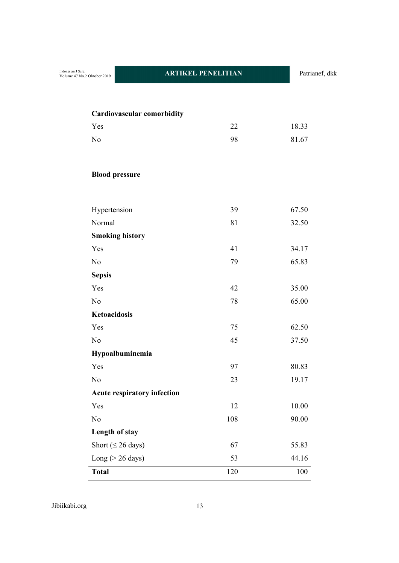| <b>Cardiovascular comorbidity</b>  |     |           |
|------------------------------------|-----|-----------|
| Yes                                | 22  | 18.33     |
| N <sub>o</sub>                     | 98  | 81.67     |
|                                    |     |           |
|                                    |     |           |
| <b>Blood pressure</b>              |     |           |
|                                    |     |           |
| Hypertension                       | 39  | 67.50     |
| Normal                             | 81  | 32.50     |
| <b>Smoking history</b>             |     |           |
| Yes                                | 41  | 34.17     |
| N <sub>o</sub>                     | 79  | 65.83     |
| <b>Sepsis</b>                      |     |           |
| Yes                                | 42  | 35.00     |
| N <sub>o</sub>                     | 78  | 65.00     |
| Ketoacidosis                       |     |           |
| Yes                                | 75  | 62.50     |
| N <sub>o</sub>                     | 45  | 37.50     |
| Hypoalbuminemia                    |     |           |
| Yes                                | 97  | 80.83     |
| N <sub>o</sub>                     | 23  | 19.17     |
| <b>Acute respiratory infection</b> |     |           |
| Yes                                | 12  | $10.00\,$ |
| No                                 | 108 | 90.00     |
| Length of stay                     |     |           |
| Short ( $\leq$ 26 days)            | 67  | 55.83     |
| Long ( $>$ 26 days)                | 53  | 44.16     |
| <b>Total</b>                       | 120 | 100       |

Jibiikabi.org 13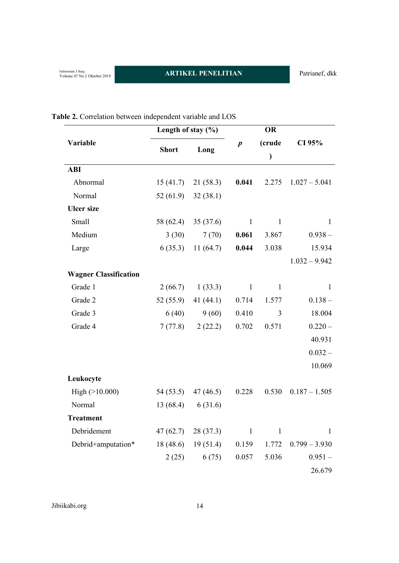|                              | Length of stay $(\% )$ |             |                  | OR           |                 |  |
|------------------------------|------------------------|-------------|------------------|--------------|-----------------|--|
| Variable                     |                        |             | $\boldsymbol{p}$ | (crude       | CI 95%          |  |
|                              | <b>Short</b>           | Long        |                  | $\mathcal Y$ |                 |  |
| <b>ABI</b>                   |                        |             |                  |              |                 |  |
| Abnormal                     | 15(41.7)               | 21(58.3)    | 0.041            | 2.275        | $1.027 - 5.041$ |  |
| Normal                       | 52 (61.9)              | 32(38.1)    |                  |              |                 |  |
| <b>Ulcer size</b>            |                        |             |                  |              |                 |  |
| Small                        | 58 (62.4)              | 35(37.6)    | $\mathbf{1}$     | $\mathbf{1}$ | $\mathbf{1}$    |  |
| Medium                       | 3(30)                  | 7(70)       | 0.061            | 3.867        | $0.938 -$       |  |
| Large                        | 6(35.3)                | 11(64.7)    | 0.044            | 3.038        | 15.934          |  |
|                              |                        |             |                  |              | $1.032 - 9.942$ |  |
| <b>Wagner Classification</b> |                        |             |                  |              |                 |  |
| Grade 1                      | 2(66.7)                | 1(33.3)     | $\mathbf{1}$     | $\mathbf{1}$ | 1               |  |
| Grade 2                      | 52(55.9)               | 41 $(44.1)$ | 0.714            | 1.577        | $0.138 -$       |  |
| Grade 3                      | 6(40)                  | 9(60)       | 0.410            | 3            | 18.004          |  |
| Grade 4                      | 7(77.8)                | 2(22.2)     | 0.702            | 0.571        | $0.220 -$       |  |
|                              |                        |             |                  |              | 40.931          |  |
|                              |                        |             |                  |              | $0.032 -$       |  |
|                              |                        |             |                  |              | 10.069          |  |
| Leukocyte                    |                        |             |                  |              |                 |  |
| High $(>10.000)$             | 54 (53.5)              | 47 (46.5)   | 0.228            | 0.530        | $0.187 - 1.505$ |  |
| Normal                       | 13(68.4)               | 6(31.6)     |                  |              |                 |  |
| <b>Treatment</b>             |                        |             |                  |              |                 |  |
| Debridement                  | 47 (62.7)              | 28(37.3)    | $\mathbf{1}$     | $\mathbf{1}$ | 1               |  |
| Debrid+amputation*           | 18(48.6)               | 19(51.4)    | 0.159            | 1.772        | $0.799 - 3.930$ |  |
|                              | 2(25)                  | 6(75)       | 0.057            | 5.036        | $0.951 -$       |  |
|                              |                        |             |                  |              | 26.679          |  |

# **Table 2.** Correlation between independent variable and LOS

Jibiikabi.org 14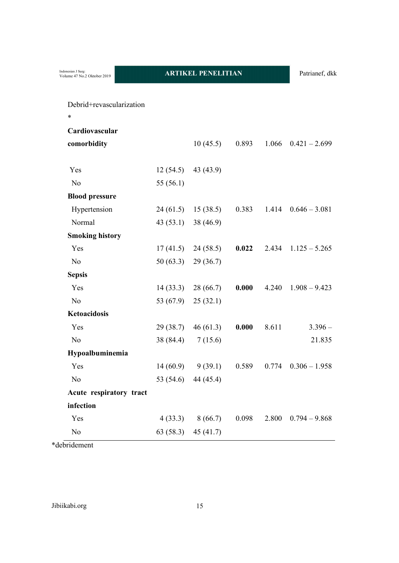| Debrid+revascularization |           |           |       |       |                 |
|--------------------------|-----------|-----------|-------|-------|-----------------|
| $\ast$                   |           |           |       |       |                 |
| Cardiovascular           |           |           |       |       |                 |
| comorbidity              |           | 10(45.5)  | 0.893 | 1.066 | $0.421 - 2.699$ |
|                          |           |           |       |       |                 |
| Yes                      | 12(54.5)  | 43 (43.9) |       |       |                 |
| N <sub>o</sub>           | 55 (56.1) |           |       |       |                 |
| <b>Blood pressure</b>    |           |           |       |       |                 |
| Hypertension             | 24 (61.5) | 15(38.5)  | 0.383 | 1.414 | $0.646 - 3.081$ |
| Normal                   | 43(53.1)  | 38 (46.9) |       |       |                 |
| <b>Smoking history</b>   |           |           |       |       |                 |
| Yes                      | 17(41.5)  | 24(58.5)  | 0.022 | 2.434 | $1.125 - 5.265$ |
| N <sub>o</sub>           | 50(63.3)  | 29(36.7)  |       |       |                 |
| <b>Sepsis</b>            |           |           |       |       |                 |
| Yes                      | 14(33.3)  | 28(66.7)  | 0.000 | 4.240 | $1.908 - 9.423$ |
| No                       | 53 (67.9) | 25(32.1)  |       |       |                 |
| Ketoacidosis             |           |           |       |       |                 |
| Yes                      | 29(38.7)  | 46(61.3)  | 0.000 | 8.611 | $3.396 -$       |
| N <sub>o</sub>           | 38 (84.4) | 7(15.6)   |       |       | 21.835          |
| Hypoalbuminemia          |           |           |       |       |                 |
| Yes                      | 14(60.9)  | 9(39.1)   | 0.589 | 0.774 | $0.306 - 1.958$ |
| N <sub>o</sub>           | 53 (54.6) | 44 (45.4) |       |       |                 |
| Acute respiratory tract  |           |           |       |       |                 |
| infection                |           |           |       |       |                 |
| Yes                      | 4(33.3)   | 8(66.7)   | 0.098 | 2.800 | $0.794 - 9.868$ |
| N <sub>o</sub>           | 63 (58.3) | 45 (41.7) |       |       |                 |

\*debridement